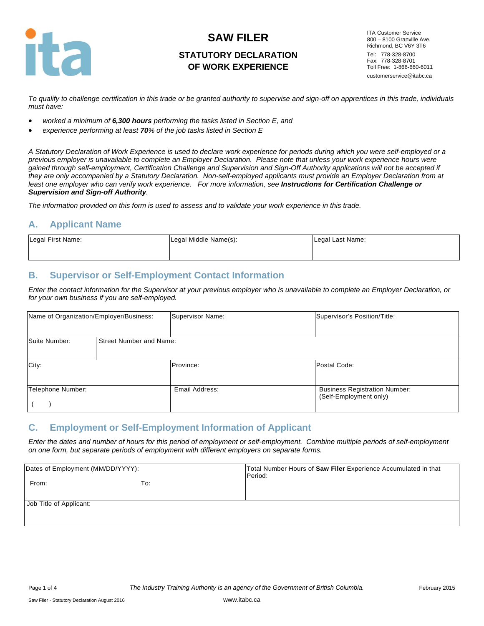

# **STATUTORY DECLARATION OF WORK EXPERIENCE**

ITA Customer Service 800 – 8100 Granville Ave. Richmond, BC V6Y 3T6 Tel: 778-328-8700 Fax: 778-328-8701 Toll Free: 1-866-660-6011 customerservice@itabc.ca

*To qualify to challenge certification in this trade or be granted authority to supervise and sign-off on apprentices in this trade, individuals must have:*

- *worked a minimum of 6,300 hours performing the tasks listed in Section E, and*
- *experience performing at least 70% of the job tasks listed in Section E*

*A Statutory Declaration of Work Experience is used to declare work experience for periods during which you were self-employed or a previous employer is unavailable to complete an Employer Declaration. Please note that unless your work experience hours were gained through self-employment, Certification Challenge and Supervision and Sign-Off Authority applications will not be accepted if they are only accompanied by a Statutory Declaration. Non-self-employed applicants must provide an Employer Declaration from at*  least one employer who can verify work experience. For more information, see **Instructions for Certification Challenge or** *Supervision and Sign-off Authority.*

*The information provided on this form is used to assess and to validate your work experience in this trade.* 

#### **A. Applicant Name**

| Legal First Name: | Legal Middle Name(s): | Legal Last Name: |
|-------------------|-----------------------|------------------|
|                   |                       |                  |

#### **B. Supervisor or Self-Employment Contact Information**

*Enter the contact information for the Supervisor at your previous employer who is unavailable to complete an Employer Declaration, or for your own business if you are self-employed.*

| Name of Organization/Employer/Business: |                                | Supervisor Name: | Supervisor's Position/Title:                                   |
|-----------------------------------------|--------------------------------|------------------|----------------------------------------------------------------|
| Suite Number:                           | <b>Street Number and Name:</b> |                  |                                                                |
| City:                                   |                                | Province:        | Postal Code:                                                   |
| Telephone Number:                       |                                | Email Address:   | <b>Business Registration Number:</b><br>(Self-Employment only) |

#### **C. Employment or Self-Employment Information of Applicant**

*Enter the dates and number of hours for this period of employment or self-employment. Combine multiple periods of self-employment on one form, but separate periods of employment with different employers on separate forms.*

| Dates of Employment (MM/DD/YYYY): |     | Total Number Hours of Saw Filer Experience Accumulated in that<br>Period: |
|-----------------------------------|-----|---------------------------------------------------------------------------|
| From:                             | To: |                                                                           |
| Job Title of Applicant:           |     |                                                                           |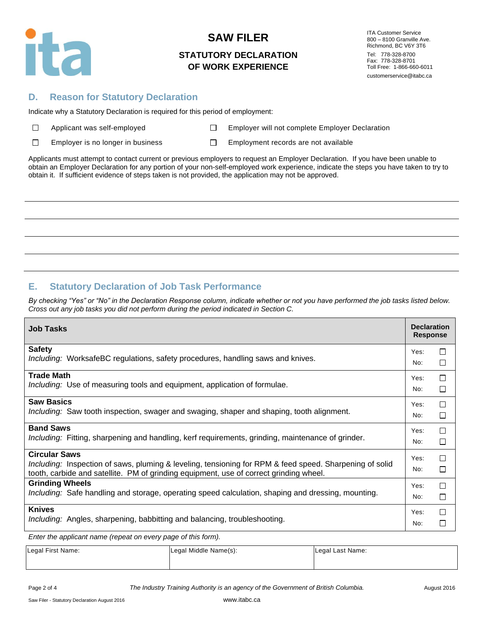

#### **STATUTORY DECLARATION OF WORK EXPERIENCE**

ITA Customer Service 800 – 8100 Granville Ave. Richmond, BC V6Y 3T6 Tel: 778-328-8700 Fax: 778-328-8701 Toll Free: 1-866-660-6011 customerservice@itabc.ca

#### **D. Reason for Statutory Declaration**

Indicate why a Statutory Declaration is required for this period of employment:

 $\Box$ 

Applicant was self-employed **EMPLO** Employer will not complete Employer Declaration

 $\Box$ Employer is no longer in business  $\square$  Employment records are not available

Applicants must attempt to contact current or previous employers to request an Employer Declaration. If you have been unable to obtain an Employer Declaration for any portion of your non-self-employed work experience, indicate the steps you have taken to try to obtain it. If sufficient evidence of steps taken is not provided, the application may not be approved.

# **E. Statutory Declaration of Job Task Performance**

*By checking "Yes" or "No" in the Declaration Response column, indicate whether or not you have performed the job tasks listed below. Cross out any job tasks you did not perform during the period indicated in Section C.*

| <b>Job Tasks</b>                                                                                                                                                                                                          | <b>Declaration</b><br><b>Response</b> |        |
|---------------------------------------------------------------------------------------------------------------------------------------------------------------------------------------------------------------------------|---------------------------------------|--------|
| <b>Safety</b>                                                                                                                                                                                                             | Yes:                                  | □      |
| <i>Including:</i> WorksafeBC regulations, safety procedures, handling saws and knives.                                                                                                                                    | No:                                   | $\Box$ |
| <b>Trade Math</b>                                                                                                                                                                                                         | Yes:                                  | □      |
| <i>Including:</i> Use of measuring tools and equipment, application of formulae.                                                                                                                                          | No:                                   | □      |
| <b>Saw Basics</b>                                                                                                                                                                                                         | Yes:                                  | □      |
| Including: Saw tooth inspection, swager and swaging, shaper and shaping, tooth alignment.                                                                                                                                 | No:                                   | □      |
| <b>Band Saws</b>                                                                                                                                                                                                          | Yes:                                  | П      |
| <i>Including:</i> Fitting, sharpening and handling, kerf requirements, grinding, maintenance of grinder.                                                                                                                  | No:                                   | □      |
| <b>Circular Saws</b><br>Including: Inspection of saws, pluming & leveling, tensioning for RPM & feed speed. Sharpening of solid<br>tooth, carbide and satellite. PM of grinding equipment, use of correct grinding wheel. | Yes:<br>No:                           | П<br>П |
| <b>Grinding Wheels</b>                                                                                                                                                                                                    | Yes:                                  | П      |
| Including: Safe handling and storage, operating speed calculation, shaping and dressing, mounting.                                                                                                                        | No:                                   | □      |
| <b>Knives</b>                                                                                                                                                                                                             | Yes:                                  | П      |
| Including: Angles, sharpening, babbitting and balancing, troubleshooting.                                                                                                                                                 | No:                                   | □      |

*Enter the applicant name (repeat on every page of this form).*

| Legal First Name: | Legal Middle Name(s): | Legal Last Name: |
|-------------------|-----------------------|------------------|
|                   |                       |                  |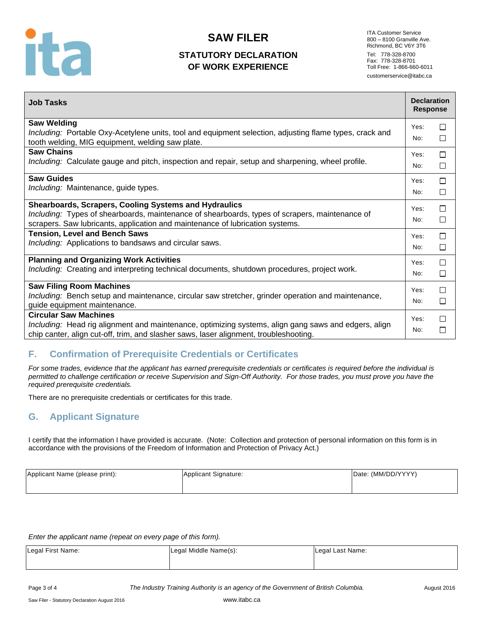

# **STATUTORY DECLARATION OF WORK EXPERIENCE**

ITA Customer Service 800 – 8100 Granville Ave. Richmond, BC V6Y 3T6 Tel: 778-328-8700 Fax: 778-328-8701 Toll Free: 1-866-660-6011 customerservice@itabc.ca

| <b>Saw Welding</b><br>Yes:<br>$\Box$<br>Including: Portable Oxy-Acetylene units, tool and equipment selection, adjusting flame types, crack and<br>□<br>No:<br>tooth welding, MIG equipment, welding saw plate.<br><b>Saw Chains</b><br>$\Box$<br>Yes:<br>Including: Calculate gauge and pitch, inspection and repair, setup and sharpening, wheel profile.<br>□<br>No:<br><b>Saw Guides</b><br>$\Box$<br>Yes:<br>Including: Maintenance, guide types.<br>$\Box$<br>No:<br><b>Shearboards, Scrapers, Cooling Systems and Hydraulics</b><br>$\Box$<br>Yes:<br>Including: Types of shearboards, maintenance of shearboards, types of scrapers, maintenance of<br>$\Box$<br>No:<br>scrapers. Saw lubricants, application and maintenance of lubrication systems.<br><b>Tension, Level and Bench Saws</b><br>$\Box$<br>Yes:<br>Including: Applications to bandsaws and circular saws.<br>$\Box$<br>No:<br><b>Planning and Organizing Work Activities</b><br>$\Box$<br>Yes:<br>Including: Creating and interpreting technical documents, shutdown procedures, project work.<br>□<br>No:<br><b>Saw Filing Room Machines</b><br>□<br>Yes:<br>Including: Bench setup and maintenance, circular saw stretcher, grinder operation and maintenance,<br>□<br>No: | <b>Job Tasks</b>             | <b>Declaration</b><br><b>Response</b> |  |
|------------------------------------------------------------------------------------------------------------------------------------------------------------------------------------------------------------------------------------------------------------------------------------------------------------------------------------------------------------------------------------------------------------------------------------------------------------------------------------------------------------------------------------------------------------------------------------------------------------------------------------------------------------------------------------------------------------------------------------------------------------------------------------------------------------------------------------------------------------------------------------------------------------------------------------------------------------------------------------------------------------------------------------------------------------------------------------------------------------------------------------------------------------------------------------------------------------------------------------------------------|------------------------------|---------------------------------------|--|
|                                                                                                                                                                                                                                                                                                                                                                                                                                                                                                                                                                                                                                                                                                                                                                                                                                                                                                                                                                                                                                                                                                                                                                                                                                                      |                              |                                       |  |
|                                                                                                                                                                                                                                                                                                                                                                                                                                                                                                                                                                                                                                                                                                                                                                                                                                                                                                                                                                                                                                                                                                                                                                                                                                                      |                              |                                       |  |
|                                                                                                                                                                                                                                                                                                                                                                                                                                                                                                                                                                                                                                                                                                                                                                                                                                                                                                                                                                                                                                                                                                                                                                                                                                                      |                              |                                       |  |
|                                                                                                                                                                                                                                                                                                                                                                                                                                                                                                                                                                                                                                                                                                                                                                                                                                                                                                                                                                                                                                                                                                                                                                                                                                                      |                              |                                       |  |
|                                                                                                                                                                                                                                                                                                                                                                                                                                                                                                                                                                                                                                                                                                                                                                                                                                                                                                                                                                                                                                                                                                                                                                                                                                                      |                              |                                       |  |
|                                                                                                                                                                                                                                                                                                                                                                                                                                                                                                                                                                                                                                                                                                                                                                                                                                                                                                                                                                                                                                                                                                                                                                                                                                                      |                              |                                       |  |
|                                                                                                                                                                                                                                                                                                                                                                                                                                                                                                                                                                                                                                                                                                                                                                                                                                                                                                                                                                                                                                                                                                                                                                                                                                                      |                              |                                       |  |
|                                                                                                                                                                                                                                                                                                                                                                                                                                                                                                                                                                                                                                                                                                                                                                                                                                                                                                                                                                                                                                                                                                                                                                                                                                                      |                              |                                       |  |
|                                                                                                                                                                                                                                                                                                                                                                                                                                                                                                                                                                                                                                                                                                                                                                                                                                                                                                                                                                                                                                                                                                                                                                                                                                                      |                              |                                       |  |
|                                                                                                                                                                                                                                                                                                                                                                                                                                                                                                                                                                                                                                                                                                                                                                                                                                                                                                                                                                                                                                                                                                                                                                                                                                                      |                              |                                       |  |
|                                                                                                                                                                                                                                                                                                                                                                                                                                                                                                                                                                                                                                                                                                                                                                                                                                                                                                                                                                                                                                                                                                                                                                                                                                                      |                              |                                       |  |
|                                                                                                                                                                                                                                                                                                                                                                                                                                                                                                                                                                                                                                                                                                                                                                                                                                                                                                                                                                                                                                                                                                                                                                                                                                                      |                              |                                       |  |
|                                                                                                                                                                                                                                                                                                                                                                                                                                                                                                                                                                                                                                                                                                                                                                                                                                                                                                                                                                                                                                                                                                                                                                                                                                                      |                              |                                       |  |
|                                                                                                                                                                                                                                                                                                                                                                                                                                                                                                                                                                                                                                                                                                                                                                                                                                                                                                                                                                                                                                                                                                                                                                                                                                                      |                              |                                       |  |
|                                                                                                                                                                                                                                                                                                                                                                                                                                                                                                                                                                                                                                                                                                                                                                                                                                                                                                                                                                                                                                                                                                                                                                                                                                                      |                              |                                       |  |
|                                                                                                                                                                                                                                                                                                                                                                                                                                                                                                                                                                                                                                                                                                                                                                                                                                                                                                                                                                                                                                                                                                                                                                                                                                                      | guide equipment maintenance. |                                       |  |
| <b>Circular Saw Machines</b><br>П<br>Yes:                                                                                                                                                                                                                                                                                                                                                                                                                                                                                                                                                                                                                                                                                                                                                                                                                                                                                                                                                                                                                                                                                                                                                                                                            |                              |                                       |  |
| Including: Head rig alignment and maintenance, optimizing systems, align gang saws and edgers, align<br>□<br>No:<br>chip canter, align cut-off, trim, and slasher saws, laser alignment, troubleshooting.                                                                                                                                                                                                                                                                                                                                                                                                                                                                                                                                                                                                                                                                                                                                                                                                                                                                                                                                                                                                                                            |                              |                                       |  |

# **F. Confirmation of Prerequisite Credentials or Certificates**

*For some trades, evidence that the applicant has earned prerequisite credentials or certificates is required before the individual is permitted to challenge certification or receive Supervision and Sign-Off Authority. For those trades, you must prove you have the required prerequisite credentials.* 

There are no prerequisite credentials or certificates for this trade.

# **G. Applicant Signature**

I certify that the information I have provided is accurate. (Note: Collection and protection of personal information on this form is in accordance with the provisions of the Freedom of Information and Protection of Privacy Act.)

| Applicant Signature: | Date: (MM/DD/YYYY) |
|----------------------|--------------------|
|                      |                    |
|                      |                    |

*Enter the applicant name (repeat on every page of this form).*

| Legal First Name: | Legal Middle Name(s): | Legal Last Name: |
|-------------------|-----------------------|------------------|
|                   |                       |                  |

Page 3 of 4 **The Industry Training Authority is an agency of the Government of British Columbia.** August 2016